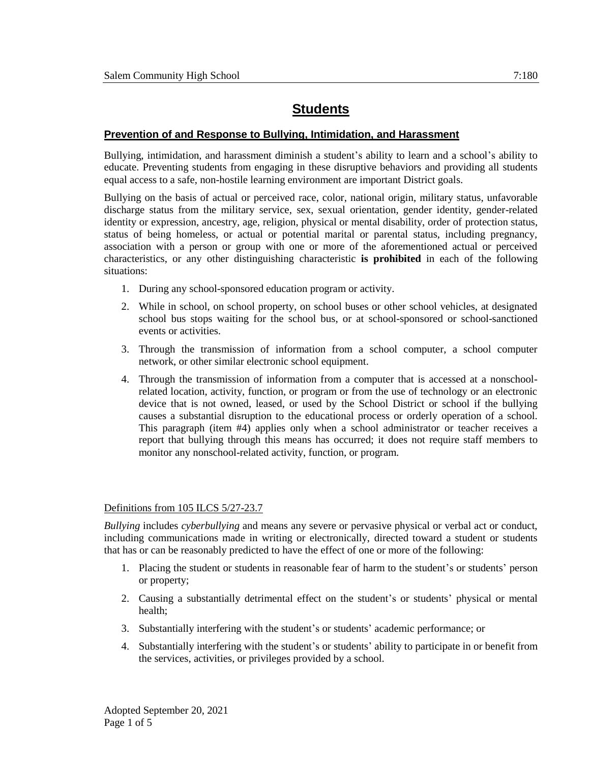# **Students**

## **Prevention of and Response to Bullying, Intimidation, and Harassment**

Bullying, intimidation, and harassment diminish a student's ability to learn and a school's ability to educate. Preventing students from engaging in these disruptive behaviors and providing all students equal access to a safe, non-hostile learning environment are important District goals.

Bullying on the basis of actual or perceived race, color, national origin, military status, unfavorable discharge status from the military service, sex, sexual orientation, gender identity, gender-related identity or expression, ancestry, age, religion, physical or mental disability, order of protection status, status of being homeless, or actual or potential marital or parental status, including pregnancy, association with a person or group with one or more of the aforementioned actual or perceived characteristics, or any other distinguishing characteristic **is prohibited** in each of the following situations:

- 1. During any school-sponsored education program or activity.
- 2. While in school, on school property, on school buses or other school vehicles, at designated school bus stops waiting for the school bus, or at school-sponsored or school-sanctioned events or activities.
- 3. Through the transmission of information from a school computer, a school computer network, or other similar electronic school equipment.
- 4. Through the transmission of information from a computer that is accessed at a nonschoolrelated location, activity, function, or program or from the use of technology or an electronic device that is not owned, leased, or used by the School District or school if the bullying causes a substantial disruption to the educational process or orderly operation of a school. This paragraph (item #4) applies only when a school administrator or teacher receives a report that bullying through this means has occurred; it does not require staff members to monitor any nonschool-related activity, function, or program.

### Definitions from 105 ILCS 5/27-23.7

*Bullying* includes *cyberbullying* and means any severe or pervasive physical or verbal act or conduct, including communications made in writing or electronically, directed toward a student or students that has or can be reasonably predicted to have the effect of one or more of the following:

- 1. Placing the student or students in reasonable fear of harm to the student's or students' person or property;
- 2. Causing a substantially detrimental effect on the student's or students' physical or mental health;
- 3. Substantially interfering with the student's or students' academic performance; or
- 4. Substantially interfering with the student's or students' ability to participate in or benefit from the services, activities, or privileges provided by a school.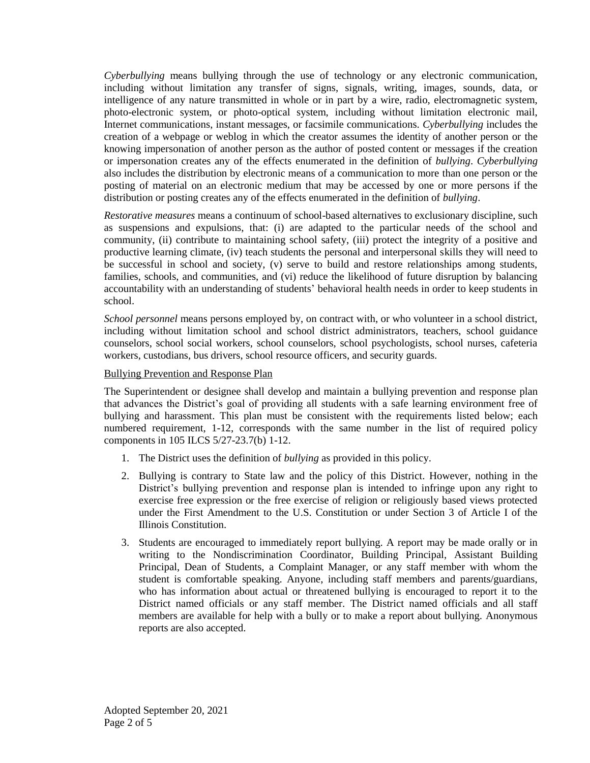*Cyberbullying* means bullying through the use of technology or any electronic communication, including without limitation any transfer of signs, signals, writing, images, sounds, data, or intelligence of any nature transmitted in whole or in part by a wire, radio, electromagnetic system, photo-electronic system, or photo-optical system, including without limitation electronic mail, Internet communications, instant messages, or facsimile communications. *Cyberbullying* includes the creation of a webpage or weblog in which the creator assumes the identity of another person or the knowing impersonation of another person as the author of posted content or messages if the creation or impersonation creates any of the effects enumerated in the definition of *bullying*. *Cyberbullying* also includes the distribution by electronic means of a communication to more than one person or the posting of material on an electronic medium that may be accessed by one or more persons if the distribution or posting creates any of the effects enumerated in the definition of *bullying*.

*Restorative measures* means a continuum of school-based alternatives to exclusionary discipline, such as suspensions and expulsions, that: (i) are adapted to the particular needs of the school and community, (ii) contribute to maintaining school safety, (iii) protect the integrity of a positive and productive learning climate, (iv) teach students the personal and interpersonal skills they will need to be successful in school and society, (v) serve to build and restore relationships among students, families, schools, and communities, and (vi) reduce the likelihood of future disruption by balancing accountability with an understanding of students' behavioral health needs in order to keep students in school.

*School personnel* means persons employed by, on contract with, or who volunteer in a school district, including without limitation school and school district administrators, teachers, school guidance counselors, school social workers, school counselors, school psychologists, school nurses, cafeteria workers, custodians, bus drivers, school resource officers, and security guards.

### Bullying Prevention and Response Plan

The Superintendent or designee shall develop and maintain a bullying prevention and response plan that advances the District's goal of providing all students with a safe learning environment free of bullying and harassment. This plan must be consistent with the requirements listed below; each numbered requirement, 1-12, corresponds with the same number in the list of required policy components in 105 ILCS 5/27-23.7(b) 1-12.

- 1. The District uses the definition of *bullying* as provided in this policy.
- 2. Bullying is contrary to State law and the policy of this District. However, nothing in the District's bullying prevention and response plan is intended to infringe upon any right to exercise free expression or the free exercise of religion or religiously based views protected under the First Amendment to the U.S. Constitution or under Section 3 of Article I of the Illinois Constitution.
- 3. Students are encouraged to immediately report bullying. A report may be made orally or in writing to the Nondiscrimination Coordinator, Building Principal, Assistant Building Principal, Dean of Students, a Complaint Manager, or any staff member with whom the student is comfortable speaking. Anyone, including staff members and parents/guardians, who has information about actual or threatened bullying is encouraged to report it to the District named officials or any staff member. The District named officials and all staff members are available for help with a bully or to make a report about bullying. Anonymous reports are also accepted.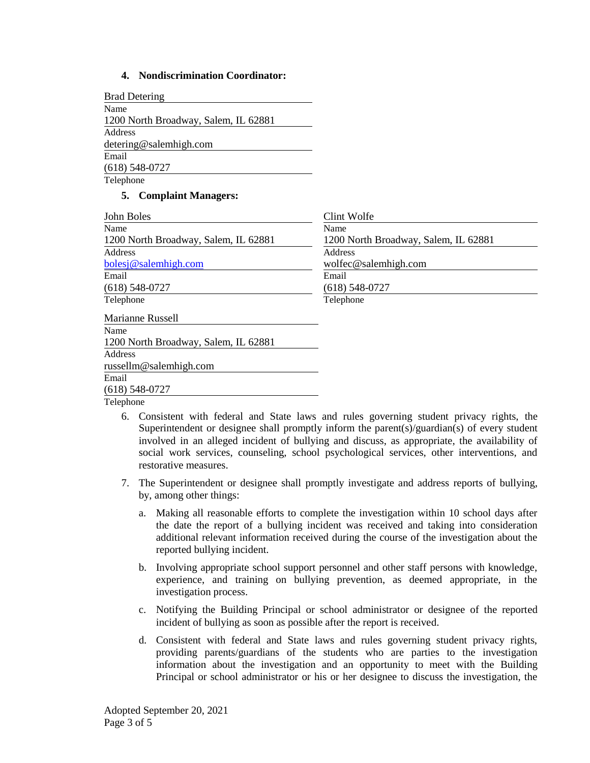#### **4. Nondiscrimination Coordinator:**

| <b>Brad Detering</b>                 |
|--------------------------------------|
| Name                                 |
| 1200 North Broadway, Salem, IL 62881 |
| Address                              |
| detering@salemhigh.com               |
| Email                                |
| $(618)$ 548-0727                     |
| Telephone                            |

### **5. Complaint Managers:**

| John Boles                           | Clint Wolfe                          |
|--------------------------------------|--------------------------------------|
| Name                                 | Name                                 |
| 1200 North Broadway, Salem, IL 62881 | 1200 North Broadway, Salem, IL 62881 |
| <b>Address</b>                       | <b>Address</b>                       |
| bolesj@salemhigh.com                 | wolfec@salemhigh.com                 |
| Email                                | Email                                |
| $(618) 548 - 0727$                   | $(618)$ 548-0727                     |
| Telephone                            | Telephone                            |
| Marianne Russell                     |                                      |
| Name                                 |                                      |
| 1200 North Broadway, Salem, IL 62881 |                                      |
| <b>Address</b>                       |                                      |
| russellm@salemhigh.com               |                                      |
| Email                                |                                      |
| $(618)$ 548-0727                     |                                      |

Telephone

- 6. Consistent with federal and State laws and rules governing student privacy rights, the Superintendent or designee shall promptly inform the parent(s)/guardian(s) of every student involved in an alleged incident of bullying and discuss, as appropriate, the availability of social work services, counseling, school psychological services, other interventions, and restorative measures.
- 7. The Superintendent or designee shall promptly investigate and address reports of bullying, by, among other things:
	- a. Making all reasonable efforts to complete the investigation within 10 school days after the date the report of a bullying incident was received and taking into consideration additional relevant information received during the course of the investigation about the reported bullying incident.
	- b. Involving appropriate school support personnel and other staff persons with knowledge, experience, and training on bullying prevention, as deemed appropriate, in the investigation process.
	- c. Notifying the Building Principal or school administrator or designee of the reported incident of bullying as soon as possible after the report is received.
	- d. Consistent with federal and State laws and rules governing student privacy rights, providing parents/guardians of the students who are parties to the investigation information about the investigation and an opportunity to meet with the Building Principal or school administrator or his or her designee to discuss the investigation, the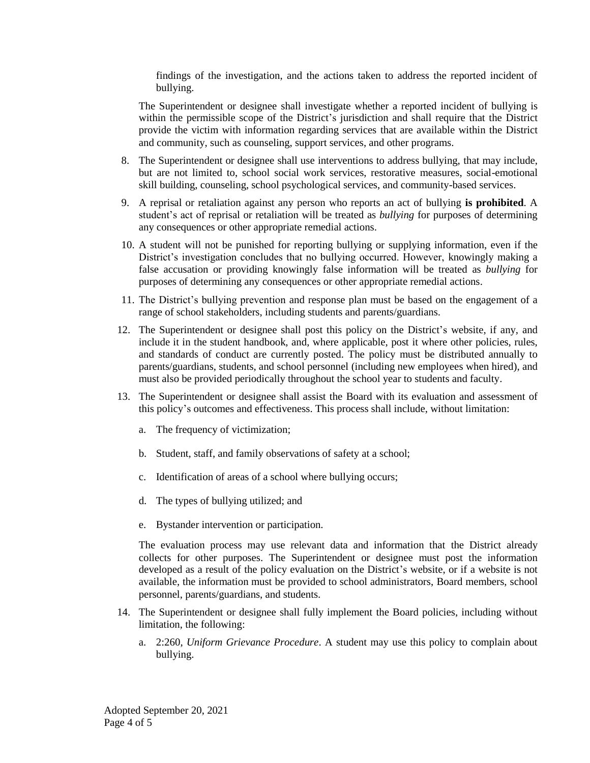findings of the investigation, and the actions taken to address the reported incident of bullying.

The Superintendent or designee shall investigate whether a reported incident of bullying is within the permissible scope of the District's jurisdiction and shall require that the District provide the victim with information regarding services that are available within the District and community, such as counseling, support services, and other programs.

- 8. The Superintendent or designee shall use interventions to address bullying, that may include, but are not limited to, school social work services, restorative measures, social-emotional skill building, counseling, school psychological services, and community-based services.
- 9. A reprisal or retaliation against any person who reports an act of bullying **is prohibited**. A student's act of reprisal or retaliation will be treated as *bullying* for purposes of determining any consequences or other appropriate remedial actions.
- 10. A student will not be punished for reporting bullying or supplying information, even if the District's investigation concludes that no bullying occurred. However, knowingly making a false accusation or providing knowingly false information will be treated as *bullying* for purposes of determining any consequences or other appropriate remedial actions.
- 11. The District's bullying prevention and response plan must be based on the engagement of a range of school stakeholders, including students and parents/guardians.
- 12. The Superintendent or designee shall post this policy on the District's website, if any, and include it in the student handbook, and, where applicable, post it where other policies, rules, and standards of conduct are currently posted. The policy must be distributed annually to parents/guardians, students, and school personnel (including new employees when hired), and must also be provided periodically throughout the school year to students and faculty.
- 13. The Superintendent or designee shall assist the Board with its evaluation and assessment of this policy's outcomes and effectiveness. This process shall include, without limitation:
	- a. The frequency of victimization;
	- b. Student, staff, and family observations of safety at a school;
	- c. Identification of areas of a school where bullying occurs;
	- d. The types of bullying utilized; and
	- e. Bystander intervention or participation.

The evaluation process may use relevant data and information that the District already collects for other purposes. The Superintendent or designee must post the information developed as a result of the policy evaluation on the District's website, or if a website is not available, the information must be provided to school administrators, Board members, school personnel, parents/guardians, and students.

- 14. The Superintendent or designee shall fully implement the Board policies, including without limitation, the following:
	- a. 2:260, *Uniform Grievance Procedure*. A student may use this policy to complain about bullying.